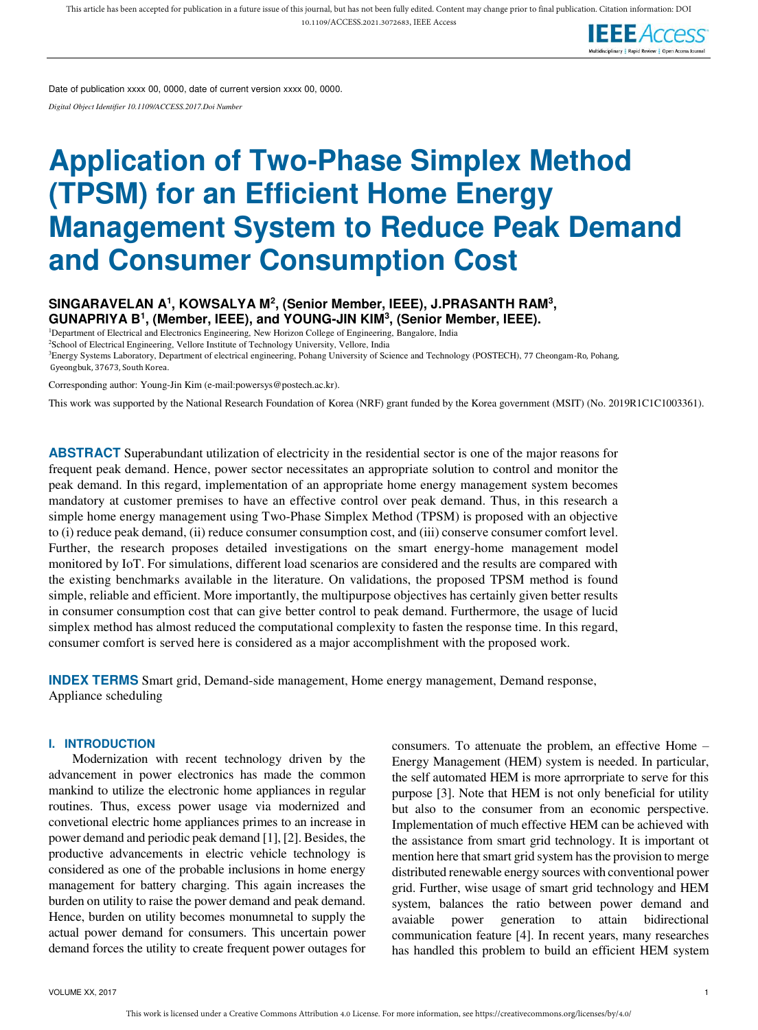

Date of publication xxxx 00, 0000, date of current version xxxx 00, 0000.

*Digital Object Identifier 10.1109/ACCESS.2017.Doi Number* 

# **Application of Two-Phase Simplex Method (TPSM) for an Efficient Home Energy Management System to Reduce Peak Demand and Consumer Consumption Cost**

**SINGARAVELAN A<sup>1</sup> , KOWSALYA M<sup>2</sup> , (Senior Member, IEEE), J.PRASANTH RAM<sup>3</sup> , GUNAPRIYA B<sup>1</sup> , (Member, IEEE), and YOUNG-JIN KIM<sup>3</sup> , (Senior Member, IEEE).**  <sup>1</sup>Department of Electrical and Electronics Engineering, New Horizon College of Engineering, Bangalore, India

<sup>2</sup>School of Electrical Engineering, Vellore Institute of Technology University, Vellore, India <sup>3</sup>Energy Systems Laboratory, Department of electrical engineering, Pohang University of Science and Technology (POSTECH), 77 Cheongam-Ro, Pohang, Gyeongbuk, 37673, South Korea.

Corresponding author: Young-Jin Kim (e-mail:powersys@postech.ac.kr).

This work was supported by the National Research Foundation of Korea (NRF) grant funded by the Korea government (MSIT) (No. 2019R1C1C1003361).

**ABSTRACT** Superabundant utilization of electricity in the residential sector is one of the major reasons for frequent peak demand. Hence, power sector necessitates an appropriate solution to control and monitor the peak demand. In this regard, implementation of an appropriate home energy management system becomes mandatory at customer premises to have an effective control over peak demand. Thus, in this research a simple home energy management using Two-Phase Simplex Method (TPSM) is proposed with an objective to (i) reduce peak demand, (ii) reduce consumer consumption cost, and (iii) conserve consumer comfort level. Further, the research proposes detailed investigations on the smart energy-home management model monitored by IoT. For simulations, different load scenarios are considered and the results are compared with the existing benchmarks available in the literature. On validations, the proposed TPSM method is found simple, reliable and efficient. More importantly, the multipurpose objectives has certainly given better results in consumer consumption cost that can give better control to peak demand. Furthermore, the usage of lucid simplex method has almost reduced the computational complexity to fasten the response time. In this regard, consumer comfort is served here is considered as a major accomplishment with the proposed work.

**INDEX TERMS** Smart grid, Demand-side management, Home energy management, Demand response, Appliance scheduling

#### **I. INTRODUCTION**

Modernization with recent technology driven by the advancement in power electronics has made the common mankind to utilize the electronic home appliances in regular routines. Thus, excess power usage via modernized and convetional electric home appliances primes to an increase in power demand and periodic peak demand [1], [2]. Besides, the productive advancements in electric vehicle technology is considered as one of the probable inclusions in home energy management for battery charging. This again increases the burden on utility to raise the power demand and peak demand. Hence, burden on utility becomes monumnetal to supply the actual power demand for consumers. This uncertain power demand forces the utility to create frequent power outages for consumers. To attenuate the problem, an effective Home – Energy Management (HEM) system is needed. In particular, the self automated HEM is more aprrorpriate to serve for this purpose [3]. Note that HEM is not only beneficial for utility but also to the consumer from an economic perspective. Implementation of much effective HEM can be achieved with the assistance from smart grid technology. It is important ot mention here that smart grid system has the provision to merge distributed renewable energy sources with conventional power grid. Further, wise usage of smart grid technology and HEM system, balances the ratio between power demand and avaiable power generation to attain bidirectional communication feature [4]. In recent years, many researches has handled this problem to build an efficient HEM system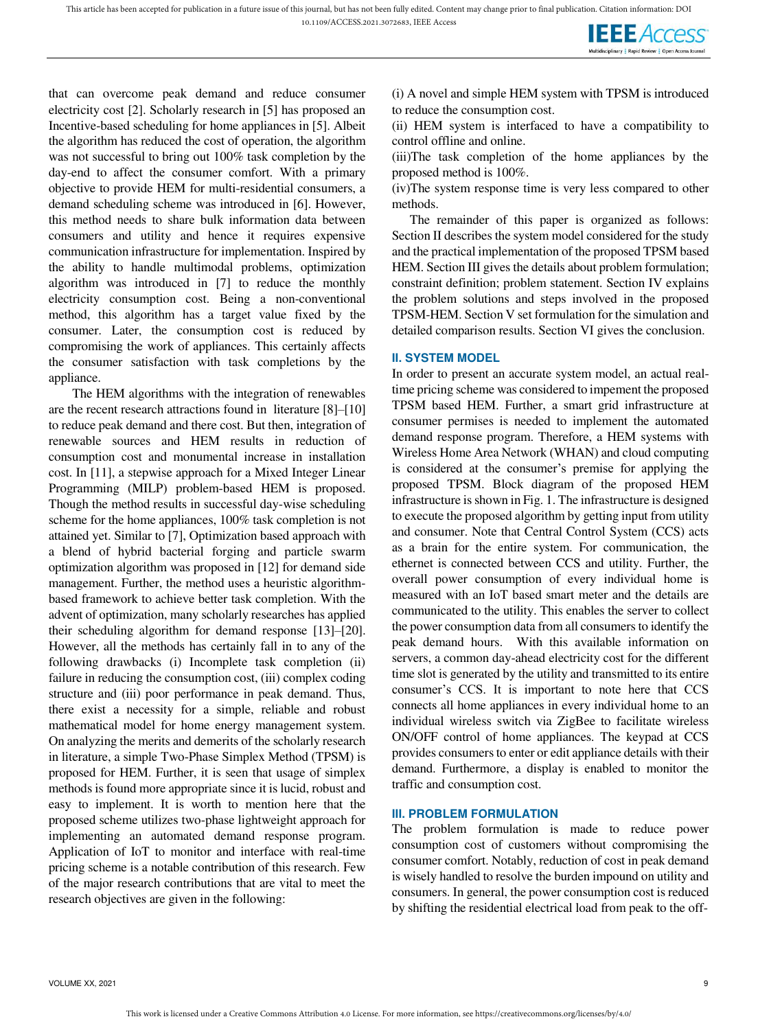

that can overcome peak demand and reduce consumer electricity cost [2]. Scholarly research in [5] has proposed an Incentive-based scheduling for home appliances in [5]. Albeit the algorithm has reduced the cost of operation, the algorithm was not successful to bring out 100% task completion by the day-end to affect the consumer comfort. With a primary objective to provide HEM for multi-residential consumers, a demand scheduling scheme was introduced in [6]. However, this method needs to share bulk information data between consumers and utility and hence it requires expensive communication infrastructure for implementation. Inspired by the ability to handle multimodal problems, optimization algorithm was introduced in [7] to reduce the monthly electricity consumption cost. Being a non-conventional method, this algorithm has a target value fixed by the consumer. Later, the consumption cost is reduced by compromising the work of appliances. This certainly affects the consumer satisfaction with task completions by the appliance.

The HEM algorithms with the integration of renewables are the recent research attractions found in literature [8]–[10] to reduce peak demand and there cost. But then, integration of renewable sources and HEM results in reduction of consumption cost and monumental increase in installation cost. In [11], a stepwise approach for a Mixed Integer Linear Programming (MILP) problem-based HEM is proposed. Though the method results in successful day-wise scheduling scheme for the home appliances, 100% task completion is not attained yet. Similar to [7], Optimization based approach with a blend of hybrid bacterial forging and particle swarm optimization algorithm was proposed in [12] for demand side management. Further, the method uses a heuristic algorithmbased framework to achieve better task completion. With the advent of optimization, many scholarly researches has applied their scheduling algorithm for demand response [13]–[20]. However, all the methods has certainly fall in to any of the following drawbacks (i) Incomplete task completion (ii) failure in reducing the consumption cost, (iii) complex coding structure and (iii) poor performance in peak demand. Thus, there exist a necessity for a simple, reliable and robust mathematical model for home energy management system. On analyzing the merits and demerits of the scholarly research in literature, a simple Two-Phase Simplex Method (TPSM) is proposed for HEM. Further, it is seen that usage of simplex methods is found more appropriate since it is lucid, robust and easy to implement. It is worth to mention here that the proposed scheme utilizes two-phase lightweight approach for implementing an automated demand response program. Application of IoT to monitor and interface with real-time pricing scheme is a notable contribution of this research. Few of the major research contributions that are vital to meet the research objectives are given in the following:

(i) A novel and simple HEM system with TPSM is introduced to reduce the consumption cost.

(ii) HEM system is interfaced to have a compatibility to control offline and online.

(iii)The task completion of the home appliances by the proposed method is 100%.

(iv)The system response time is very less compared to other methods.

The remainder of this paper is organized as follows: Section II describes the system model considered for the study and the practical implementation of the proposed TPSM based HEM. Section III gives the details about problem formulation; constraint definition; problem statement. Section IV explains the problem solutions and steps involved in the proposed TPSM-HEM. Section V set formulation for the simulation and detailed comparison results. Section VI gives the conclusion.

#### **II. SYSTEM MODEL**

In order to present an accurate system model, an actual realtime pricing scheme was considered to impement the proposed TPSM based HEM. Further, a smart grid infrastructure at consumer permises is needed to implement the automated demand response program. Therefore, a HEM systems with Wireless Home Area Network (WHAN) and cloud computing is considered at the consumer's premise for applying the proposed TPSM. Block diagram of the proposed HEM infrastructure is shown in Fig. 1. The infrastructure is designed to execute the proposed algorithm by getting input from utility and consumer. Note that Central Control System (CCS) acts as a brain for the entire system. For communication, the ethernet is connected between CCS and utility. Further, the overall power consumption of every individual home is measured with an IoT based smart meter and the details are communicated to the utility. This enables the server to collect the power consumption data from all consumers to identify the peak demand hours. With this available information on servers, a common day-ahead electricity cost for the different time slot is generated by the utility and transmitted to its entire consumer's CCS. It is important to note here that CCS connects all home appliances in every individual home to an individual wireless switch via ZigBee to facilitate wireless ON/OFF control of home appliances. The keypad at CCS provides consumers to enter or edit appliance details with their demand. Furthermore, a display is enabled to monitor the traffic and consumption cost.

#### **III. PROBLEM FORMULATION**

The problem formulation is made to reduce power consumption cost of customers without compromising the consumer comfort. Notably, reduction of cost in peak demand is wisely handled to resolve the burden impound on utility and consumers. In general, the power consumption cost is reduced by shifting the residential electrical load from peak to the off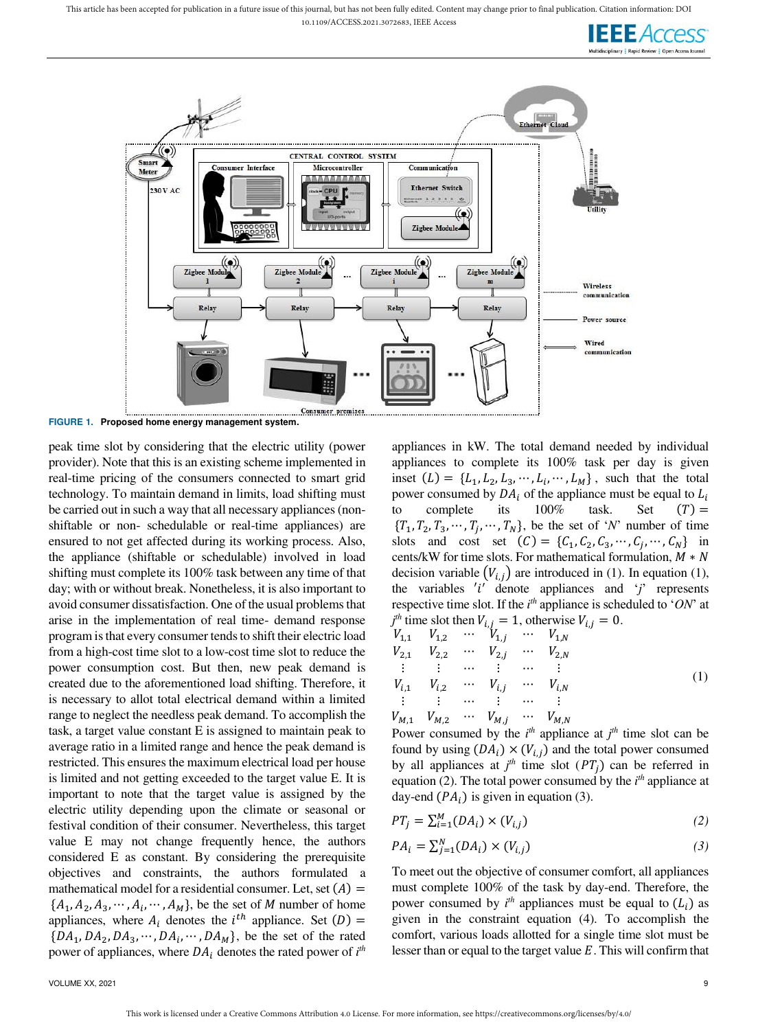This article has been accepted for publication in a future issue of this journal, but has not been fully edited. Content may change prior to final publication. Citation information: DOI

10.1109/ACCESS.2021.3072683, IEEE Access





**FIGURE 1. Proposed home energy management system.** 

peak time slot by considering that the electric utility (power provider). Note that this is an existing scheme implemented in real-time pricing of the consumers connected to smart grid technology. To maintain demand in limits, load shifting must be carried out in such a way that all necessary appliances (nonshiftable or non- schedulable or real-time appliances) are ensured to not get affected during its working process. Also, the appliance (shiftable or schedulable) involved in load shifting must complete its 100% task between any time of that day; with or without break. Nonetheless, it is also important to avoid consumer dissatisfaction. One of the usual problems that arise in the implementation of real time- demand response program is that every consumer tends to shift their electric load from a high-cost time slot to a low-cost time slot to reduce the power consumption cost. But then, new peak demand is created due to the aforementioned load shifting. Therefore, it is necessary to allot total electrical demand within a limited range to neglect the needless peak demand. To accomplish the task, a target value constant E is assigned to maintain peak to average ratio in a limited range and hence the peak demand is restricted. This ensures the maximum electrical load per house is limited and not getting exceeded to the target value E. It is important to note that the target value is assigned by the electric utility depending upon the climate or seasonal or festival condition of their consumer. Nevertheless, this target value E may not change frequently hence, the authors considered E as constant. By considering the prerequisite objectives and constraints, the authors formulated a mathematical model for a residential consumer. Let, set  $(A)$  =  $\{A_1, A_2, A_3, \cdots, A_i, \cdots, A_M\}$ , be the set of *M* number of home appliances, where  $A_i$  denotes the  $i^{th}$  appliance. Set  $(D)$  =  $\{DA_1, DA_2, DA_3, \cdots, DA_i, \cdots, DA_M\}$ , be the set of the rated power of appliances, where  $DA_i$  denotes the rated power of  $i<sup>th</sup>$ 

appliances in kW. The total demand needed by individual appliances to complete its 100% task per day is given inset  $(L) = \{L_1, L_2, L_3, \dots, L_i, \dots, L_M\}$ , such that the total power consumed by  $DA_i$  of the appliance must be equal to  $L_i$ complete its  $100\%$  task. Set  $(T)$  =  ${T_1, T_2, T_3, \cdots, T_j, \cdots, T_N}$ , be the set of '*N*' number of time slots and cost set  $(C) = \{C_1, C_2, C_3, \dots, C_j, \dots, C_N\}$  in cents/kW for time slots. For mathematical formulation,  $M \times N$ decision variable  $(V_{i,j})$  are introduced in (1). In equation (1), the variables  $'i'$  denote appliances and  $'j'$  represents respective time slot. If the *i*<sup>th</sup> appliance is scheduled to '*ON*' at  $j<sup>th</sup>$  time slot then  $V_{i,j} = 1$ , otherwise  $V_{i,j} = 0$ .

$$
V_{1,1} \t V_{1,2} \t W_{1,j} \t W_{1,N} \nV_{2,1} \t V_{2,2} \t W_{2,j} \t W_{2,j} \t W_{2,N} \n\vdots \t \vdots \t W_{i,1} \t V_{i,2} \t W_{i,j} \t W_{i,N} \n\vdots \t \vdots \t W_{M,1} \t V_{M,2} \t W_{M,j} \t W_{M,N}
$$
\n(1)

Power consumed by the  $i^{th}$  appliance at  $j^{th}$  time slot can be found by using  $(DA_i) \times (V_{i,j})$  and the total power consumed by all appliances at  $j<sup>th</sup>$  time slot ( $PT<sub>j</sub>$ ) can be referred in equation (2). The total power consumed by the  $i<sup>th</sup>$  appliance at day-end  $(PA_i)$  is given in equation (3).

$$
PT_j = \sum_{i=1}^{M} (DA_i) \times (V_{i,j})
$$
\n<sup>(2)</sup>

$$
PA_i = \sum_{j=1}^{N} (DA_i) \times (V_{i,j})
$$
\n<sup>(3)</sup>

To meet out the objective of consumer comfort, all appliances must complete 100% of the task by day-end. Therefore, the power consumed by  $i^{th}$  appliances must be equal to  $(L_i)$  as given in the constraint equation (4). To accomplish the comfort, various loads allotted for a single time slot must be lesser than or equal to the target value  $E$ . This will confirm that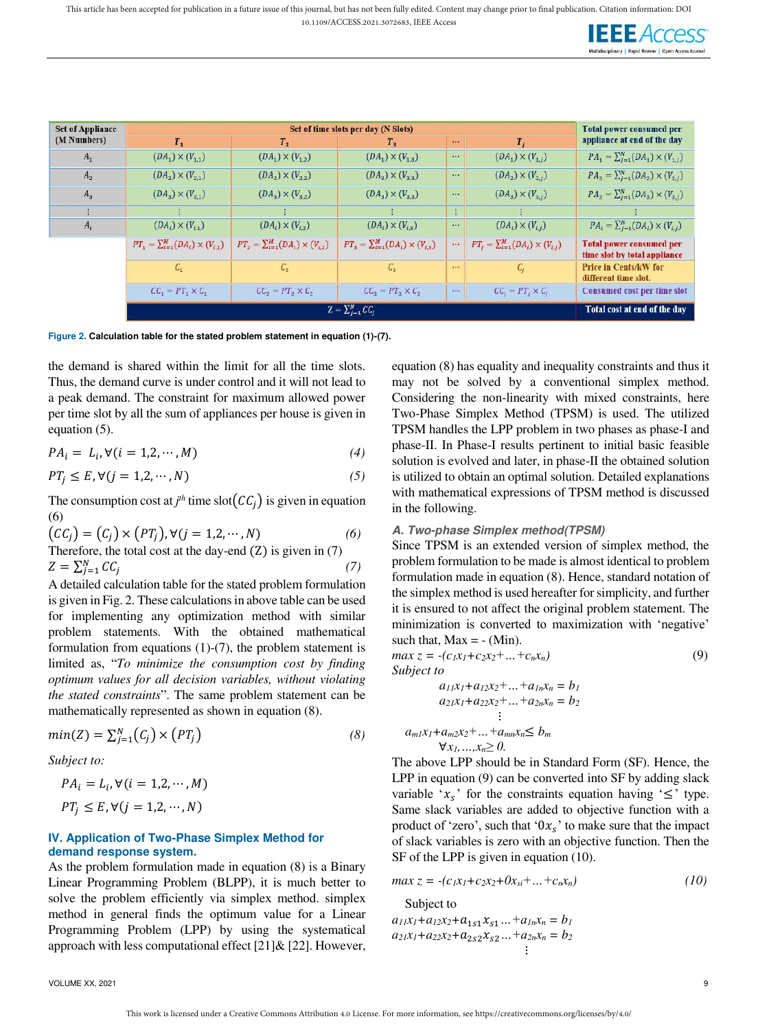

| <b>Set of Appliance</b> |                                                 | Set of time slots per day (N Slots)             |                                                 |                       |                                                 |                                                                 |  |  |  |
|-------------------------|-------------------------------------------------|-------------------------------------------------|-------------------------------------------------|-----------------------|-------------------------------------------------|-----------------------------------------------------------------|--|--|--|
| (M Numbers)             | $T_{1}$                                         | T <sub>2</sub>                                  | $T_{\rm x}$<br>$-0.001$                         |                       | T <sub>1</sub>                                  | appliance at end of the day                                     |  |  |  |
| $A_1$                   | $(DA_1) \times (V_{1,1})$                       | $(DA_1) \times (V_{1,2})$                       | $(DA_1) \times (V_{1,3})$                       | 1.11                  | $(DA_1) \times (V_{1,i})$                       | $PA_1 = \sum_{j=1}^{N} (DA_1) \times (V_{1,j})$                 |  |  |  |
| $A_{2}$                 | $(DA_2) \times (V_{2,1})$                       | $(DA_2) \times (V_{2,2})$                       | $(DA_3) \times (V_{3,3})$                       | $\cdots$              | $(DA_2) \times (V_{2,i})$                       | $PA_2 = \sum_{i=1}^{N} (DA_2) \times (V_{2,i})$                 |  |  |  |
| $A_3$                   | $(DA_3) \times (V_{3,1})$                       | $(DA_3) \times (V_{32})$                        | $(DA_3) \times (V_{33})$                        | $\cdots$              | $(DA_3) \times (V_{3,i})$                       | $PA_2 = \sum_{j=1}^{N} (DA_3) \times (V_{3,j})$                 |  |  |  |
|                         |                                                 |                                                 |                                                 |                       |                                                 |                                                                 |  |  |  |
| $A_i$                   | $(DA_i) \times (V_{i,1})$                       | $(DA_i) \times (V_{i,2})$                       | $(DA_i) \times (V_{i3})$                        | $\sim$                | $(DA_i) \times (V_{i,j})$                       | $PA_i = \sum_{j=1}^{N} (DA_i) \times (V_{i,j})$                 |  |  |  |
|                         | $PT_1 = \sum_{i=1}^{M} (DA_i) \times (V_{i,1})$ | $PT_2 = \sum_{i=1}^{M} (DA_i) \times (V_{i,2})$ | $PT_3 = \sum_{i=1}^{M} (DA_i) \times (V_{i,3})$ | $\cdots$              | $PT_i = \sum_{i=1}^{M} (DA_i) \times (V_{i,j})$ | <b>Total power consumed per</b><br>time slot by total appliance |  |  |  |
|                         | $C_{\tau}$                                      | $C_{2}$                                         | $C_{3}$                                         | 1.11                  | $c_{i}$                                         | <b>Price in Cents/kW for</b><br>different time slot.            |  |  |  |
|                         | $CC_1 = PT_1 \times C_1$                        | $CC_2 = PT_2 \times C_2$                        | $CC_2 = PT_2 \times C_2$                        | $\left( 0.001\right)$ | $CC_i = PT_i \times C_i$                        | <b>Consumed cost per time slot</b>                              |  |  |  |
|                         |                                                 |                                                 | $Z = \sum_{i=1}^{N} CC_i$                       |                       |                                                 | Total cost at end of the day                                    |  |  |  |

**Figure 2. Calculation table for the stated problem statement in equation (1)-(7).** 

the demand is shared within the limit for all the time slots. Thus, the demand curve is under control and it will not lead to a peak demand. The constraint for maximum allowed power per time slot by all the sum of appliances per house is given in equation (5).

$$
PA_i = L_i, \forall (i = 1, 2, \cdots, M)
$$
\n<sup>(4)</sup>

$$
PT_j \le E, \forall (j = 1, 2, \cdots, N)
$$
\n<sup>(5)</sup>

The consumption cost at  $j<sup>th</sup>$  time slot $(CC_j)$  is given in equation (6)

$$
(CCj) = (Cj) \times (PTj), \forall (j = 1,2,...,N)
$$
 (6)  
Therefore, the total cost at the day-end (Z) is given in (7)  

$$
Z = \sum_{j=1}^{N} CC_j
$$
 (7)

A detailed calculation table for the stated problem formulation is given in Fig. 2. These calculations in above table can be used for implementing any optimization method with similar problem statements. With the obtained mathematical formulation from equations (1)-(7), the problem statement is limited as, "*To minimize the consumption cost by finding optimum values for all decision variables, without violating the stated constraints*". The same problem statement can be mathematically represented as shown in equation (8).

$$
min(Z) = \sum_{j=1}^{N} (C_j) \times (PT_j)
$$
\n(8)

*Subject to:* 

$$
PA_i = L_i, \forall (i = 1, 2, \cdots, M)
$$
  

$$
PT_j \le E, \forall (j = 1, 2, \cdots, N)
$$

# **IV. Application of Two-Phase Simplex Method for demand response system.**

As the problem formulation made in equation (8) is a Binary Linear Programming Problem (BLPP), it is much better to solve the problem efficiently via simplex method. simplex method in general finds the optimum value for a Linear Programming Problem (LPP) by using the systematical approach with less computational effect [21]& [22]. However, equation (8) has equality and inequality constraints and thus it may not be solved by a conventional simplex method. Considering the non-linearity with mixed constraints, here Two-Phase Simplex Method (TPSM) is used. The utilized TPSM handles the LPP problem in two phases as phase-I and phase-II. In Phase-I results pertinent to initial basic feasible solution is evolved and later, in phase-II the obtained solution is utilized to obtain an optimal solution. Detailed explanations with mathematical expressions of TPSM method is discussed in the following.

# **A. Two-phase Simplex method(TPSM)**

Since TPSM is an extended version of simplex method, the problem formulation to be made is almost identical to problem formulation made in equation (8). Hence, standard notation of the simplex method is used hereafter for simplicity, and further it is ensured to not affect the original problem statement. The minimization is converted to maximization with 'negative' such that,  $Max = - (Min)$ .

$$
\max z = -(c_1x_1 + c_2x_2 + ... + c_nx_n)
$$
  
Subject to (9)

$$
a_{11}x_1 + a_{12}x_2 + \dots + a_{1n}x_n = b_1
$$
  
\n
$$
a_{21}x_1 + a_{22}x_2 + \dots + a_{2n}x_n = b_2
$$
  
\n
$$
\vdots
$$
  
\n
$$
a_{m1}x_1 + a_{m2}x_2 + \dots + a_{mn}x_n \leq b_m
$$
  
\n
$$
\forall x_1, ..., x_n \geq 0.
$$

The above LPP should be in Standard Form (SF). Hence, the LPP in equation (9) can be converted into SF by adding slack variable ' $x_s$ ' for the constraints equation having ' $\leq$ ' type. Same slack variables are added to objective function with a product of 'zero', such that ' $0x_s$ ' to make sure that the impact of slack variables is zero with an objective function. Then the SF of the LPP is given in equation (10).

$$
max z = -(c_1x_1 + c_2x_2 + 0x_{si} + ... + c_nx_n)
$$
\n(10)

Subject to

 $a_{11}x_1 + a_{12}x_2 + a_{1s1}x_{s1} ... + a_{1n}x_n = b_1$  $a_{21}x_1 + a_{22}x_2 + a_{2s2}x_{s2} + \ldots + a_{2n}x_n = b_2$ ⋮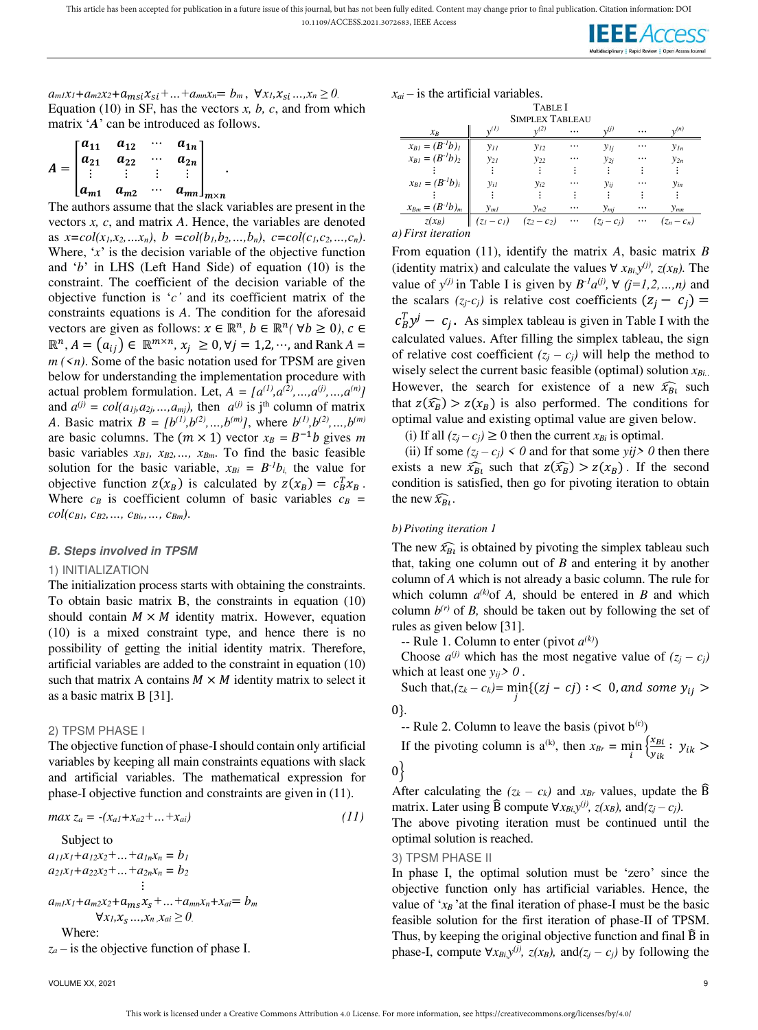This article has been accepted for publication in a future issue of this journal, but has not been fully edited. Content may change prior to final publication. Citation information: DOI

10.1109/ACCESS.2021.3072683, IEEE Access



 $a_{m1}x_1 + a_{m2}x_2 + a_{m5}x_{5} + \ldots + a_{mn}x_n = b_m, \forall x_1, x_{5} \ldots, x_n \geq 0.$ Equation (10) in SF, has the vectors  $x$ ,  $b$ ,  $c$ , and from which matrix '*A*' can be introduced as follows.

$$
A = \begin{bmatrix} a_{11} & a_{12} & \cdots & a_{1n} \\ a_{21} & a_{22} & \cdots & a_{2n} \\ \vdots & \vdots & \vdots & \vdots \\ a_{m1} & a_{m2} & \cdots & a_{mn} \end{bmatrix}_{m \times n}.
$$

The authors assume that the slack variables are present in the vectors *x, c*, and matrix *A*. Hence, the variables are denoted as  $x = col(x_1, x_2, \ldots, x_n)$ ,  $b = col(b_1, b_2, \ldots, b_n)$ ,  $c = col(c_1, c_2, \ldots, c_n)$ . Where, '*x*' is the decision variable of the objective function and '*b*' in LHS (Left Hand Side) of equation (10) is the constraint. The coefficient of the decision variable of the objective function is '*c'* and its coefficient matrix of the constraints equations is *A*. The condition for the aforesaid vectors are given as follows:  $x \in \mathbb{R}^n$ ,  $b \in \mathbb{R}^n$  ( $\forall b \ge 0$ ),  $c \in$  $\mathbb{R}^n$ ,  $A = (a_{ij}) \in \mathbb{R}^{m \times n}$ ,  $x_j \geq 0$ ,  $\forall j = 1, 2, \dots$ , and Rank  $A = \emptyset$  $m(\leq n)$ . Some of the basic notation used for TPSM are given below for understanding the implementation procedure with actual problem formulation. Let,  $A = [a^{(1)}, a^{(2)}, ..., a^{(j)}, ..., a^{(n)}]$ and  $a^{(j)} = col(a_{1j}, a_{2j}, \ldots, a_{mj})$ , then  $a^{(j)}$  is j<sup>th</sup> column of matrix *A*. Basic matrix  $B = [b^{(1)}, b^{(2)}, \dots, b^{(m)}]$ , where  $b^{(1)}, b^{(2)}, \dots, b^{(m)}$ are basic columns. The  $(m \times 1)$  vector  $x_B = B^{-1}b$  gives *m* basic variables *xB1, xB2,…, xBm*. To find the basic feasible solution for the basic variable,  $x_{Bi} = B^{-1}b_i$ , the value for objective function  $z(x_B)$  is calculated by  $z(x_B) = c_B^T x_B$ . Where  $c_B$  is coefficient column of basic variables  $c_B$  =  $col(c_{B1}, c_{B2}, \ldots, c_{Bi}, \ldots, c_{Bm})$ .

#### **B. Steps involved in TPSM**

#### 1) INITIALIZATION

The initialization process starts with obtaining the constraints. To obtain basic matrix B, the constraints in equation (10) should contain  $M \times M$  identity matrix. However, equation (10) is a mixed constraint type, and hence there is no possibility of getting the initial identity matrix. Therefore, artificial variables are added to the constraint in equation (10) such that matrix A contains  $M \times M$  identity matrix to select it as a basic matrix B [31].

#### 2) TPSM PHASE I

The objective function of phase-I should contain only artificial variables by keeping all main constraints equations with slack and artificial variables. The mathematical expression for phase-I objective function and constraints are given in (11).

$$
max z_a = -(x_{a1} + x_{a2} + ... + x_{ai})
$$
\n(11)

Subject to  
\n
$$
a_{11}x_1 + a_{12}x_2 + ... + a_{1n}x_n = b_1
$$
  
\n $a_{21}x_1 + a_{22}x_2 + ... + a_{2n}x_n = b_2$   
\n $\vdots$   
\n $a_{m1}x_1 + a_{m2}x_2 + a_{m5}x_5 + ... + a_{mn}x_n + x_{ai} = b_m$   
\n $\forall x_1, x_5, ..., x_n, x_{ai} \ge 0$   
\nWhere:  
\n $a_{m1}x_1 + a_{m2}x_2 + a_{m5}x_5 + ... + a_{mn}x_n + x_{ai} = b_m$ 

*z<sup>a</sup>* – is the objective function of phase I.

 $x_{ai}$  – is the artificial variables.

|                        |                         | <b>TABLE I</b>         |          |                        |          |               |
|------------------------|-------------------------|------------------------|----------|------------------------|----------|---------------|
|                        |                         | <b>SIMPLEX TABLEAU</b> |          |                        |          |               |
| $x_R$                  | $\sqrt{1}$              | n(2)                   | $\cdots$ | $\cdot$ , $(j)$        |          | n(n)          |
| $x_{BI} = (B^{-1}b)_I$ | $y_{II}$                | $y_{12}$               |          | $y_{Ij}$               | $\cdots$ | $y_{In}$      |
| $x_{BI} = (B^{-1}b)_2$ | $y_{21}$                | $y_{22}$               | .        | $y_{2j}$               | .        | $y_{2n}$      |
|                        |                         |                        |          |                        |          |               |
| $x_{BI}=(B^{-I}b)_i$   | $y_{iI}$                | $y_{i2}$               | .        | Уij                    |          | $y_{in}$      |
|                        |                         |                        |          |                        |          |               |
| $x_{Bm} = (B^{-1}b)_m$ | $y_{ml}$                | $y_{m2}$               | $\cdots$ | $y_{mi}$               |          | $y_{mn}$      |
| $z(x_B)$               | $(z_1-c_1)$ $(z_2-c_2)$ |                        |          | $\cdots$ $(z_i - c_i)$ | $\cdots$ | $(z_n - c_n)$ |
| $\mathbf{v}$           |                         |                        |          |                        |          |               |

*a) First iteration* 

From equation (11), identify the matrix *A*, basic matrix *B*  (identity matrix) and calculate the values  $\forall x_{Bi}$ ,  $y^{(j)}$ ,  $z(x_B)$ . The value of  $y^{(j)}$  in Table I is given by  $B^{-1}a^{(j)}$ ,  $\forall$  ( $j=1,2,...,n$ ) and the scalars  $(z_j - c_j)$  is relative cost coefficients  $(z_j - c_j)$  =  $c_B^T y^j - c_j$ . As simplex tableau is given in Table I with the calculated values. After filling the simplex tableau, the sign of relative cost coefficient  $(z_j - c_j)$  will help the method to wisely select the current basic feasible (optimal) solution *xBi.*. However, the search for existence of a new  $\widehat{x}_{Bt}$  such that  $z(\widehat{x}_B) > z(x_B)$  is also performed. The conditions for optimal value and existing optimal value are given below.

(i) If all  $(z_j - c_j) \ge 0$  then the current  $x_{Bi}$  is optimal.

(ii) If some  $(z_i - c_j) \leq 0$  and for that some *yij*  $> 0$  then there exists a new  $\widehat{x}_{B_l}$  such that  $z(\widehat{x}_B) > z(x_B)$ . If the second condition is satisfied, then go for pivoting iteration to obtain the new  $\widehat{x}_{Bi}$ .

#### *b) Pivoting iteration 1*

The new  $\widehat{x}_{B_l}$  is obtained by pivoting the simplex tableau such that, taking one column out of *B* and entering it by another column of *A* which is not already a basic column. The rule for which column  $a^{(k)}$  of *A*, should be entered in *B* and which column  $b^{(r)}$  of *B*, should be taken out by following the set of rules as given below [31].

 $-$  Rule 1. Column to enter (pivot  $a^{(k)}$ )

Choose  $a^{(j)}$  which has the most negative value of  $(z_j - c_j)$ which at least one  $y_{ij}$  > 0.

Such that, $(z_k - c_k)$ = min{ $(zj - cj)$  : < 0, and some  $y_{ij}$  > 0}*.*

- Rule 2. Column to leave the basis (pivot 
$$
b^{(r)}
$$
)

If the pivoting column is a<sup>(k)</sup>, then  $x_{Br} = \min_i \left\{ \frac{x_{Bi}}{y_{ik}} \right\}$  $\frac{B_i}{y_{ik}}$ :  $y_{ik}$ 

 $0\}$ 

After calculating the  $(z_k - c_k)$  and  $x_{Br}$  values, update the  $\widehat{B}$ matrix. Later using  $\widehat{B}$  compute  $\forall x_{Bi}$ ,  $y^{(j)}$ ,  $z(x_B)$ , and $(z_j - c_j)$ .

The above pivoting iteration must be continued until the optimal solution is reached.

3) TPSM PHASE II

In phase I, the optimal solution must be 'zero' since the objective function only has artificial variables. Hence, the value of  $x_B$  'at the final iteration of phase-I must be the basic feasible solution for the first iteration of phase-II of TPSM. Thus, by keeping the original objective function and final B̂ in phase-I, compute  $\forall x_{Bi}y^{(j)}$ ,  $z(x_B)$ , and $(z_j - c_j)$  by following the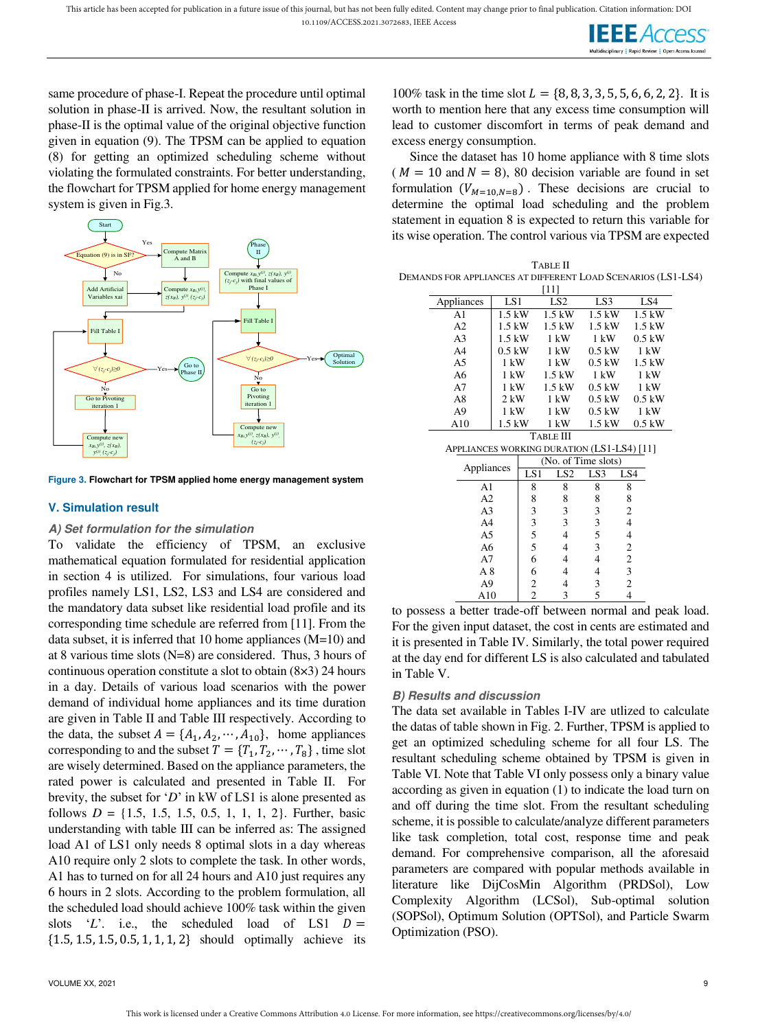

same procedure of phase-I. Repeat the procedure until optimal solution in phase-II is arrived. Now, the resultant solution in phase-II is the optimal value of the original objective function given in equation (9). The TPSM can be applied to equation (8) for getting an optimized scheduling scheme without violating the formulated constraints. For better understanding, the flowchart for TPSM applied for home energy management system is given in Fig.3.



**Figure 3. Flowchart for TPSM applied home energy management system**

# **V. Simulation result**

# **A) Set formulation for the simulation**

To validate the efficiency of TPSM, an exclusive mathematical equation formulated for residential application in section 4 is utilized. For simulations, four various load profiles namely LS1, LS2, LS3 and LS4 are considered and the mandatory data subset like residential load profile and its corresponding time schedule are referred from [11]. From the data subset, it is inferred that 10 home appliances (M=10) and at 8 various time slots (N=8) are considered. Thus, 3 hours of continuous operation constitute a slot to obtain (8×3) 24 hours in a day. Details of various load scenarios with the power demand of individual home appliances and its time duration are given in Table II and Table III respectively. According to the data, the subset  $A = \{A_1, A_2, \dots, A_{10}\}$ , home appliances corresponding to and the subset  $T = \{T_1, T_2, \dots, T_8\}$ , time slot are wisely determined. Based on the appliance parameters, the rated power is calculated and presented in Table II. For brevity, the subset for '*D*' in kW of LS1 is alone presented as follows  $D = \{1.5, 1.5, 1.5, 0.5, 1, 1, 1, 2\}$ . Further, basic understanding with table III can be inferred as: The assigned load A1 of LS1 only needs 8 optimal slots in a day whereas A10 require only 2 slots to complete the task. In other words, A1 has to turned on for all 24 hours and A10 just requires any 6 hours in 2 slots. According to the problem formulation, all the scheduled load should achieve 100% task within the given slots 'L'. i.e., the scheduled load of LS1  $D =$  $\{1.5, 1.5, 1.5, 0.5, 1, 1, 1, 2\}$  should optimally achieve its

100% task in the time slot  $L = \{8, 8, 3, 3, 5, 5, 6, 6, 2, 2\}$ . It is worth to mention here that any excess time consumption will lead to customer discomfort in terms of peak demand and excess energy consumption.

Since the dataset has 10 home appliance with 8 time slots ( $M = 10$  and  $N = 8$ ), 80 decision variable are found in set formulation  $(V_{M=10,N=8})$ . These decisions are crucial to determine the optimal load scheduling and the problem statement in equation 8 is expected to return this variable for its wise operation. The control various via TPSM are expected

| TABLE II                                                     |
|--------------------------------------------------------------|
| DEMANDS FOR APPLIANCES AT DIFFERENT LOAD SCENARIOS (LS1-LS4) |
| [11]                                                         |

|                                            |                |                | [11]                |                |                |
|--------------------------------------------|----------------|----------------|---------------------|----------------|----------------|
| Appliances                                 | LS1            |                | LS <sub>2</sub>     | LS3            | LS4            |
| A <sub>1</sub>                             | $1.5$ kW       |                | $1.5$ kW            | $1.5$ kW       | $1.5$ kW       |
| A2                                         | $1.5$ kW       |                | $1.5$ kW            | $1.5$ kW       | $1.5$ kW       |
| A <sub>3</sub>                             | $1.5$ kW       |                | $1 \text{ kW}$      | $1 \text{ kW}$ | $0.5$ kW       |
| A4                                         | $0.5$ kW       |                | $1 \text{ kW}$      | $0.5$ kW       | $1 \text{ kW}$ |
| A5                                         | $1 \text{ kW}$ |                | 1 kW                | $0.5$ kW       | $1.5$ kW       |
| A6                                         | $1 \text{ kW}$ |                | $1.5$ kW            | $1 \text{ kW}$ | $1 \text{ kW}$ |
| A7                                         | $1 \text{ kW}$ |                | $1.5$ kW            | $0.5$ kW       | $1 \text{ kW}$ |
| A8                                         | 2 kW           |                | $1 \text{ kW}$      | $0.5$ kW       | $0.5$ kW       |
| A <sub>9</sub>                             | 1 kW           |                | 1 kW                | $0.5$ kW       | 1 kW           |
| A10                                        | 1.5 kW         |                | $1 \text{ kW}$      | $1.5$ kW       | $0.5$ kW       |
|                                            |                |                | <b>TABLE III</b>    |                |                |
| APPLIANCES WORKING DURATION (LS1-LS4) [11] |                |                |                     |                |                |
|                                            |                |                | (No. of Time slots) |                |                |
| Appliances                                 |                | LS1            | LS <sub>2</sub>     | LS3            | LS4            |
| A1                                         |                | 8              | 8                   | 8              | 8              |
| A2                                         |                | 8              | 8                   | 8              | 8              |
| A3                                         |                | 3              | 3                   | 3              | 2              |
| A <sub>4</sub>                             |                | 3              | 3                   | 3              | $\overline{4}$ |
| A5                                         |                | 5              | 4                   | 5              | $\overline{4}$ |
| A6                                         |                | 5              | 4                   | 3              | $\mathbf{2}$   |
| A7                                         |                | 6              | 4                   | 4              | $\overline{c}$ |
| A8                                         |                | 6              | 4                   | 4              | 3              |
| A <sub>9</sub>                             |                | $\overline{c}$ | 4                   | 3              | $\overline{c}$ |
| A10                                        |                | $\overline{c}$ | 3                   | 5              | 4              |

to possess a better trade-off between normal and peak load. For the given input dataset, the cost in cents are estimated and it is presented in Table IV. Similarly, the total power required at the day end for different LS is also calculated and tabulated in Table V.

# **B) Results and discussion**

The data set available in Tables I-IV are utlized to calculate the datas of table shown in Fig. 2. Further, TPSM is applied to get an optimized scheduling scheme for all four LS. The resultant scheduling scheme obtained by TPSM is given in Table VI. Note that Table VI only possess only a binary value according as given in equation (1) to indicate the load turn on and off during the time slot. From the resultant scheduling scheme, it is possible to calculate/analyze different parameters like task completion, total cost, response time and peak demand. For comprehensive comparison, all the aforesaid parameters are compared with popular methods available in literature like DijCosMin Algorithm (PRDSol), Low Complexity Algorithm (LCSol), Sub-optimal solution (SOPSol), Optimum Solution (OPTSol), and Particle Swarm Optimization (PSO).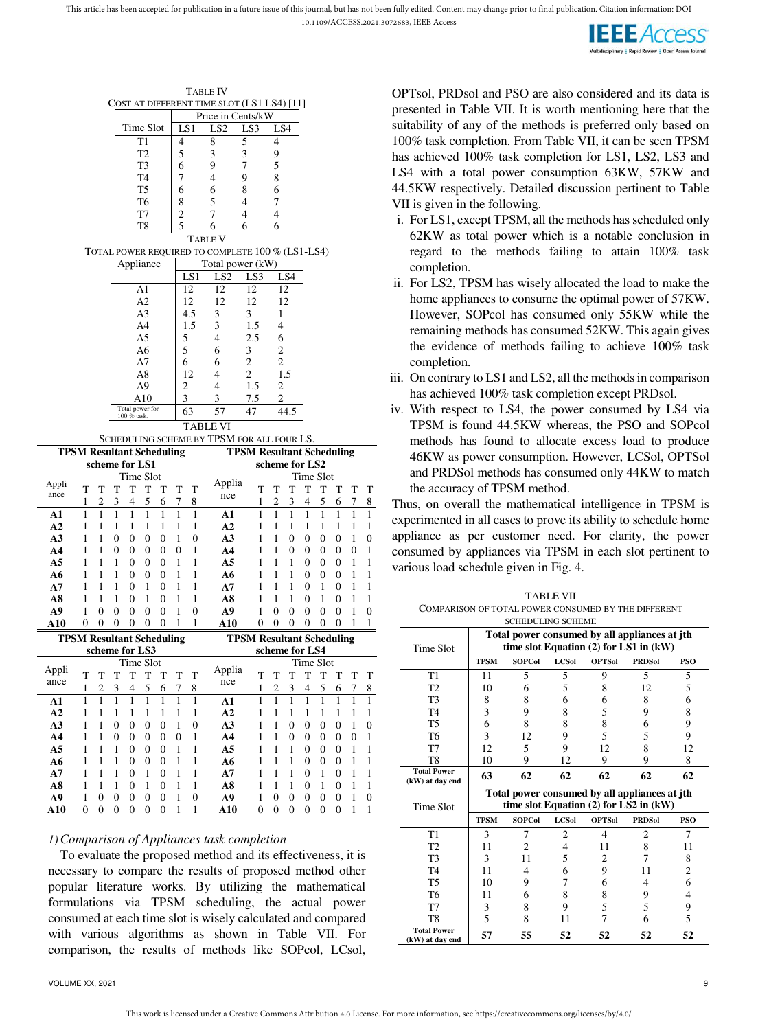

|                                  |                |                         |              |                  |           |                |                |     | Table IV                                         |                   |                                  |                         |              |                          |   |                  |                |                  |
|----------------------------------|----------------|-------------------------|--------------|------------------|-----------|----------------|----------------|-----|--------------------------------------------------|-------------------|----------------------------------|-------------------------|--------------|--------------------------|---|------------------|----------------|------------------|
|                                  |                |                         |              |                  |           |                |                |     | COST AT DIFFERENT TIME SLOT (LS1 LS4) [11]       |                   |                                  |                         |              |                          |   |                  |                |                  |
|                                  |                |                         |              |                  |           |                |                |     |                                                  | Price in Cents/kW |                                  |                         |              |                          |   |                  |                |                  |
|                                  |                |                         |              | Time Slot        |           |                |                | LS1 | LS <sub>2</sub>                                  | LS3               |                                  | LS4                     |              |                          |   |                  |                |                  |
|                                  |                |                         |              |                  | T1        |                | 4              |     | 8                                                | 5                 |                                  | 4                       |              |                          |   |                  |                |                  |
|                                  |                |                         |              |                  | T2        |                | 5              |     | 3                                                | 3                 |                                  | 9                       |              |                          |   |                  |                |                  |
|                                  |                |                         |              |                  | T3        |                | 6              |     | 9                                                | 7                 |                                  | 5                       |              |                          |   |                  |                |                  |
|                                  |                |                         |              |                  | T4        |                | 7              |     | 4                                                | 9                 |                                  | 8                       |              |                          |   |                  |                |                  |
|                                  |                |                         |              |                  | T5        |                | 6              |     | 6                                                | 8                 |                                  | 6                       |              |                          |   |                  |                |                  |
|                                  |                |                         |              |                  | T6        |                | 8              |     | 5                                                | 4                 |                                  | 7                       |              |                          |   |                  |                |                  |
|                                  |                |                         |              |                  | T7        |                | $\overline{c}$ |     | 7                                                | $\overline{4}$    |                                  | $\overline{4}$          |              |                          |   |                  |                |                  |
|                                  |                |                         |              |                  | T8        |                | 5              |     | 6                                                | 6                 |                                  | 6                       |              |                          |   |                  |                |                  |
|                                  |                |                         |              |                  |           |                |                |     | <b>TABLE V</b>                                   |                   |                                  |                         |              |                          |   |                  |                |                  |
|                                  |                |                         |              |                  |           |                |                |     | TOTAL POWER REQUIRED TO COMPLETE 100 % (LS1-LS4) |                   |                                  |                         |              |                          |   |                  |                |                  |
|                                  |                |                         |              | Appliance        |           |                |                |     | Total power (kW)                                 |                   |                                  |                         |              |                          |   |                  |                |                  |
|                                  |                |                         |              |                  |           |                |                | LS1 | LS <sub>2</sub>                                  |                   | LS3                              |                         | LS4          |                          |   |                  |                |                  |
|                                  |                |                         |              |                  | Al        |                |                | 12  | 12                                               |                   | 12                               |                         | 12           |                          |   |                  |                |                  |
|                                  |                |                         |              |                  | A2        |                |                | 12  | 12                                               |                   | 12                               | 12                      |              |                          |   |                  |                |                  |
|                                  |                |                         |              |                  | A3        |                |                | 4.5 | 3                                                | 3                 |                                  | 1                       |              |                          |   |                  |                |                  |
|                                  |                |                         |              |                  | A4        |                |                | 1.5 | 3                                                |                   | 1.5                              | 4                       |              |                          |   |                  |                |                  |
|                                  |                |                         |              |                  | A5        |                | 5              |     | 4                                                |                   | 2.5                              | 6                       |              |                          |   |                  |                |                  |
|                                  |                |                         |              |                  | A6        |                |                | 5   | 6                                                | 3                 |                                  | $\overline{c}$          |              |                          |   |                  |                |                  |
|                                  |                |                         |              |                  | A7        |                | 6              |     | 6                                                | $\mathfrak{2}$    |                                  | $\overline{c}$          |              |                          |   |                  |                |                  |
|                                  |                |                         |              |                  | A8        |                |                | 12  | 4                                                | 2                 |                                  |                         | 1.5          |                          |   |                  |                |                  |
|                                  |                |                         |              |                  | A9<br>A10 |                | 2<br>3         |     | 4<br>3                                           |                   | 1.5                              | 2<br>2                  |              |                          |   |                  |                |                  |
|                                  |                |                         |              | Total power for  |           |                |                | 63  | 57                                               | 47                | 7.5                              |                         | 44.5         |                          |   |                  |                |                  |
|                                  |                |                         |              | 100 % task.      |           |                |                |     |                                                  |                   |                                  |                         |              |                          |   |                  |                |                  |
|                                  |                |                         |              |                  |           |                |                |     | <b>TABLE VI</b>                                  |                   |                                  |                         |              |                          |   |                  |                |                  |
|                                  |                |                         |              |                  |           |                |                |     | SCHEDULING SCHEME BY TPSM FOR ALL FOUR LS.       |                   | <b>TPSM Resultant Scheduling</b> |                         |              |                          |   |                  |                |                  |
| <b>TPSM Resultant Scheduling</b> |                | scheme for LS1          |              |                  |           |                |                |     |                                                  |                   |                                  | scheme for LS2          |              |                          |   |                  |                |                  |
|                                  |                |                         |              | Time Slot        |           |                |                |     |                                                  |                   |                                  |                         |              | Time Slot                |   |                  |                |                  |
| Appli                            | T              | T                       | T            | T                | T         | T              | T              | T   | Applia                                           |                   | T                                | T                       | T            | T                        | T | T                | T              | T                |
| ance                             | 1              | 2                       | 3            | 4                | 5         | 6              | 7              | 8   | nce                                              |                   | 1                                | 2                       | 3            | 4                        | 5 | 6                | 7              | 8                |
| A1                               | 1              | 1                       | 1            | 1                | 1         | 1              | 1              | 1   | A1                                               |                   | 1                                | $\mathbf{1}$            | 1            | 1                        | 1 | 1                | 1              | $\mathbf{1}$     |
| A2                               | 1              | 1                       | 1            | 1                | 1         | 1              | 1              | 1   | A2                                               |                   | 1                                | 1                       | 1            | 1                        | 1 | 1                | 1              | 1                |
| A3                               | 1              | 1                       | 0            | 0                | 0         | $\overline{0}$ | 1              | 0   | A3                                               |                   | 1                                | 1                       | 0            | 0                        | 0 | 0                | 1              | 0                |
| A4                               | 1              | 1                       | 0            | 0                | 0         | 0              | 0              | 1   | A4                                               |                   | 1                                | 1                       | 0            | 0                        | 0 | 0                | 0              | 1                |
| A5                               | 1              | 1                       | 1            | 0                | 0         | $\overline{0}$ | 1              | 1   | A5                                               |                   | 1                                | 1                       | 1            | 0                        | 0 | $\mathbf{0}$     | 1              | 1                |
| A6                               | 1              | 1                       | 1            | 0                | 0         | $\overline{0}$ | 1              | 1   | A6                                               |                   | 1                                | 1                       | 1            | 0                        | 0 | 0                | 1              | 1                |
| A7                               | 1              | 1                       | 1            | 0                | 1         | 0              | 1              | 1   | A7                                               |                   | 1                                | 1                       | 1            | 0                        | 1 | 0                | 1              | 1                |
| A8                               | 1              | 1                       | 1            | 0                | 1         | 0              | 1              | 1   | A8                                               |                   | 1                                | 1                       | 1            | 0                        | 1 | 0                | 1              | 1                |
| A9                               | 1              | 0                       | 0            | 0                | 0         | 0              | 1              | 0   | A9                                               |                   | 1                                | 0                       | 0            | 0                        | 0 | 0                | 1              | 0                |
| A10                              | 0              | 0                       | 0            | $\overline{0}$   | 0         | 0              | 1              | 1   | A10                                              |                   | 0                                | $\overline{0}$          | 0            | 0                        | 0 | $\mathbf{0}$     | 1              | 1                |
| <b>TPSM Resultant Scheduling</b> |                |                         |              |                  |           |                |                |     |                                                  |                   | <b>TPSM Resultant Scheduling</b> |                         |              |                          |   |                  |                |                  |
|                                  |                | scheme for LS3          |              |                  |           |                |                |     |                                                  |                   |                                  | scheme for LS4          |              |                          |   |                  |                |                  |
|                                  |                |                         |              | Time Slot        |           |                |                |     |                                                  |                   |                                  |                         |              | Time Slot                |   |                  |                |                  |
| Appli                            | T              | T                       | T            | T                | T         | T              | T              | T   | Applia                                           |                   | T                                | T                       | T            | T                        | T | T                | T              | T                |
| ance                             | 1              | $\overline{\mathbf{c}}$ | 3            | 4                | 5         | 6              | 7              | 8   | nce                                              |                   | 1                                | $\overline{\mathbf{c}}$ | 3            | $\overline{\mathcal{L}}$ | 5 | 6                | $\overline{7}$ | $\boldsymbol{8}$ |
| A1                               | 1              | 1                       | $\mathbf{1}$ | $\mathbf{1}$     | 1         | $\mathbf{1}$   | 1              | 1   | A1                                               |                   | 1                                | 1                       | $\mathbf{1}$ | $\mathbf{1}$             | 1 | $\mathbf{1}$     | 1              | 1                |
| A2                               | 1              | 1                       | 1            | 1                | 1         | 1              | 1              | 1   | A2                                               |                   | 1                                | 1                       | 1            | 1                        | 1 | 1                | 1              | 1                |
| A3                               | 1              | 1                       | 0            | 0                | 0         | 0              | 1              | 0   | A3                                               |                   | 1                                | 1                       | 0            | 0                        | 0 | 0                | 1              | $\boldsymbol{0}$ |
| A <sub>4</sub>                   | $\mathbf{1}$   | 1                       | 0            | 0                | 0         | 0              | 0              | 1   | A <sub>4</sub>                                   |                   | 1                                | 1                       | 0            | 0                        | 0 | 0                | 0              | 1                |
| A <sub>5</sub>                   | 1              | 1                       | 1            | 0                | 0         | 0              | 1              | 1   | A5                                               |                   | 1                                | 1                       | 1            | 0                        | 0 | 0                | 1              | 1                |
| A6                               | 1              | 1                       | 1            | 0                | 0         | 0              | 1              | 1   | A6                                               |                   | 1                                | 1                       | 1            | 0                        | 0 | 0                | 1              | 1                |
| ${\bf A7}$                       | 1              | 1                       | 1            | 0                | 1         | 0              | 1              | 1   | A7                                               |                   | 1                                | 1                       | 1            | 0                        | 1 | 0                | 1              | 1                |
| A8                               | 1              | 1                       | 1            | 0                | 1         | 0              | 1              | 1   | A8                                               |                   | 1                                | 1                       | 1            | 0                        | 1 | $\boldsymbol{0}$ | 1              | 1                |
| A9                               | 1              | 0                       | 0            | $\boldsymbol{0}$ | 0         | 0              | 1              | 0   | A9                                               |                   | 1                                | 0                       | 0            | 0                        | 0 | 0                | 1              | $\boldsymbol{0}$ |
| <b>A10</b>                       |                | 0                       | 0            | 0                | 0         | 0              | 1              | 1   |                                                  |                   | $\overline{0}$                   | 0                       | 0            | 0                        | 0 | 0                | 1              | 1                |
|                                  | $\overline{0}$ |                         |              |                  |           |                |                |     | A10                                              |                   |                                  |                         |              |                          |   |                  |                |                  |
|                                  |                |                         |              |                  |           |                |                |     | 1) Comparison of Appliances task completion      |                   |                                  |                         |              |                          |   |                  |                |                  |

# *1)Comparison of Appliances task completion*

To evaluate the proposed method and its effectiveness, it is necessary to compare the results of proposed method other popular literature works. By utilizing the mathematical formulations via TPSM scheduling, the actual power consumed at each time slot is wisely calculated and compared with various algorithms as shown in Table VII. For comparison, the results of methods like SOPcol, LCsol, OPTsol, PRDsol and PSO are also considered and its data is presented in Table VII. It is worth mentioning here that the suitability of any of the methods is preferred only based on 100% task completion. From Table VII, it can be seen TPSM has achieved 100% task completion for LS1, LS2, LS3 and LS4 with a total power consumption 63KW, 57KW and 44.5KW respectively. Detailed discussion pertinent to Table VII is given in the following.

- i. For LS1, except TPSM, all the methods has scheduled only 62KW as total power which is a notable conclusion in regard to the methods failing to attain 100% task completion.
- ii. For LS2, TPSM has wisely allocated the load to make the home appliances to consume the optimal power of 57KW. However, SOPcol has consumed only 55KW while the remaining methods has consumed 52KW. This again gives the evidence of methods failing to achieve 100% task completion.
- iii. On contrary to LS1 and LS2, all the methods in comparison has achieved 100% task completion except PRDsol.
- iv. With respect to LS4, the power consumed by LS4 via TPSM is found 44.5KW whereas, the PSO and SOPcol methods has found to allocate excess load to produce 46KW as power consumption. However, LCSol, OPTSol and PRDSol methods has consumed only 44KW to match the accuracy of TPSM method.

Thus, on overall the mathematical intelligence in TPSM is experimented in all cases to prove its ability to schedule home appliance as per customer need. For clarity, the power consumed by appliances via TPSM in each slot pertinent to various load schedule given in Fig. 4.

| TABLE VII                                           |
|-----------------------------------------------------|
| COMPARISON OF TOTAL POWER CONSUMED BY THE DIFFERENT |
| <b>COLLEDITI INC. COLLEME</b>                       |

|                                       |                                                                                         | SCHEDULING SCHEME |                |               |                                                                                             |                |  |  |  |  |
|---------------------------------------|-----------------------------------------------------------------------------------------|-------------------|----------------|---------------|---------------------------------------------------------------------------------------------|----------------|--|--|--|--|
| Time Slot                             |                                                                                         |                   |                |               | Total power consumed by all appliances at jth<br>time slot Equation $(2)$ for LS1 in $(kW)$ |                |  |  |  |  |
|                                       | <b>TPSM</b>                                                                             | <b>SOPCol</b>     | <b>LCSol</b>   | <b>OPTSol</b> | <b>PRDSol</b>                                                                               | <b>PSO</b>     |  |  |  |  |
| T1                                    | 11                                                                                      | 5                 | 5              | 9             | 5                                                                                           | 5              |  |  |  |  |
| T <sub>2</sub>                        | 10                                                                                      | 6                 | 5              | 8             | 12                                                                                          | 5              |  |  |  |  |
| T <sub>3</sub>                        | 8                                                                                       | 8                 | 6              | 6             | 8                                                                                           | 6              |  |  |  |  |
| T <sub>4</sub>                        | 3                                                                                       | 9                 | 8              | 5             | 9                                                                                           | 8              |  |  |  |  |
| T <sub>5</sub>                        | 6                                                                                       | 8                 | 8              | 8             | 6                                                                                           | 9              |  |  |  |  |
| T <sub>6</sub>                        | 3                                                                                       | 12                | 9              | 5             | 5                                                                                           | 9              |  |  |  |  |
| T7                                    | 12                                                                                      | 5                 | 9              | 12            | 8                                                                                           | 12             |  |  |  |  |
| T <sub>8</sub>                        | 10                                                                                      | 9                 | 12             | 9             | 9                                                                                           | 8              |  |  |  |  |
| <b>Total Power</b><br>(kW) at day end | 63                                                                                      | 62                | 62             | 62            | 62                                                                                          | 62             |  |  |  |  |
|                                       | Total power consumed by all appliances at jth<br>time slot Equation (2) for LS2 in (kW) |                   |                |               |                                                                                             |                |  |  |  |  |
| Time Slot                             |                                                                                         |                   |                |               |                                                                                             |                |  |  |  |  |
|                                       | <b>TPSM</b>                                                                             | <b>SOPCol</b>     | <b>LCSol</b>   | <b>OPTSol</b> | <b>PRDSol</b>                                                                               | <b>PSO</b>     |  |  |  |  |
| T <sub>1</sub>                        | 3                                                                                       | 7                 | $\overline{c}$ | 4             | $\overline{2}$                                                                              | 7              |  |  |  |  |
| T <sub>2</sub>                        | 11                                                                                      | $\overline{c}$    | $\overline{4}$ | 11            | 8                                                                                           | 11             |  |  |  |  |
| T <sub>3</sub>                        | 3                                                                                       | 11                | 5              | 2             | 7                                                                                           | 8              |  |  |  |  |
| T <sub>4</sub>                        | 11                                                                                      | 4                 | 6              | 9             | 11                                                                                          | $\overline{c}$ |  |  |  |  |
| T <sub>5</sub>                        | 10                                                                                      | 9                 | 7              | 6             | 4                                                                                           | 6              |  |  |  |  |
| T <sub>6</sub>                        | 11                                                                                      | 6                 | 8              | 8             | 9                                                                                           | 4              |  |  |  |  |
| T7                                    | 3                                                                                       | 8                 | 9              | 5             | 5                                                                                           | 9              |  |  |  |  |
| T <sub>8</sub>                        | 5                                                                                       | 8                 | 11             | 7             | 6                                                                                           | 5              |  |  |  |  |

Ap an

Ap ance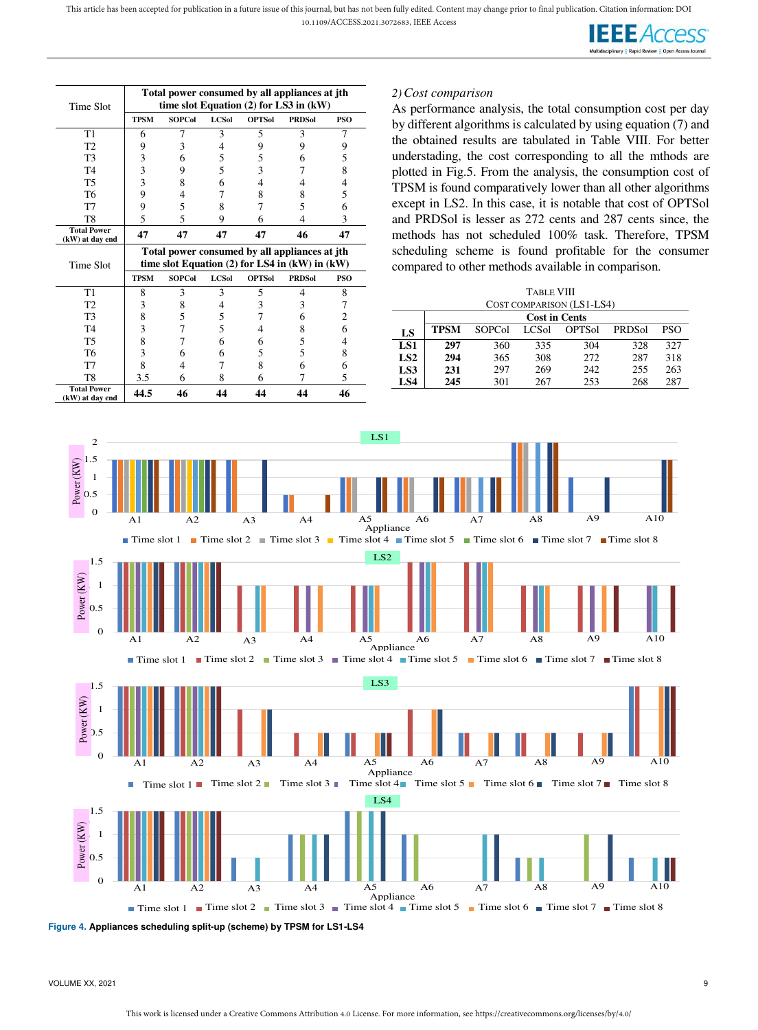

| Time Slot                             |             |               |              |               | Total power consumed by all appliances at jth<br>time slot Equation $(2)$ for LS3 in $(kW)$           |     |
|---------------------------------------|-------------|---------------|--------------|---------------|-------------------------------------------------------------------------------------------------------|-----|
|                                       | <b>TPSM</b> | <b>SOPCol</b> | <b>LCSol</b> | <b>OPTSol</b> | <b>PRDSol</b>                                                                                         | PSO |
| T <sub>1</sub>                        | 6           | 7             | 3            | 5             | 3                                                                                                     | 7   |
| T <sub>2</sub>                        | 9           | 3             | 4            | 9             | 9                                                                                                     | 9   |
| T <sub>3</sub>                        | 3           | 6             | 5            | 5             | 6                                                                                                     | 5   |
| T <sub>4</sub>                        | 3           | 9             | 5            | 3             |                                                                                                       | 8   |
| T <sub>5</sub>                        | 3           | 8             | 6            | 4             | 4                                                                                                     | 4   |
| T6                                    | 9           | 4             | 7            | 8             | 8                                                                                                     | 5   |
| T <sub>7</sub>                        | 9           | 5             | 8            | 7             | 5                                                                                                     | 6   |
| T <sub>8</sub>                        | 5           | 5             | 9            | 6             | 4                                                                                                     | 3   |
| <b>Total Power</b><br>(kW) at day end | 47          | 47            | 47           | 47            | 46                                                                                                    | 47  |
|                                       |             |               |              |               |                                                                                                       |     |
| Time Slot                             |             |               |              |               | Total power consumed by all appliances at jth<br>time slot Equation $(2)$ for LS4 in $(kW)$ in $(kW)$ |     |
|                                       | <b>TPSM</b> | <b>SOPCol</b> | <b>LCSol</b> | <b>OPTSol</b> | <b>PRDSol</b>                                                                                         | PSO |
| T <sub>1</sub>                        | 8           | 3             | 3            | 5             | 4                                                                                                     | 8   |
| T <sub>2</sub>                        | 3           | 8             | 4            | 3             | 3                                                                                                     | 7   |
| T <sub>3</sub>                        | 8           | 5             | 5            | 7             | 6                                                                                                     | 2   |
| T <sub>4</sub>                        | 3           | 7             | 5            | 4             | 8                                                                                                     | 6   |
| T <sub>5</sub>                        | 8           | 7             | 6            | 6             | 5                                                                                                     | 4   |
| T <sub>6</sub>                        | 3           | 6             | 6            | 5             | 5                                                                                                     | 8   |
| T7                                    | 8           | 4             | 7            | 8             | 6                                                                                                     | 6   |
| T8<br><b>Total Power</b>              | 3.5         | 6             | 8            | 6             | 7                                                                                                     | 5   |

# *2)Cost comparison*

**LS**

As performance analysis, the total consumption cost per day by different algorithms is calculated by using equation (7) and the obtained results are tabulated in Table VIII. For better understading, the cost corresponding to all the mthods are plotted in Fig.5. From the analysis, the consumption cost of TPSM is found comparatively lower than all other algorithms except in LS2. In this case, it is notable that cost of OPTSol and PRDSol is lesser as 272 cents and 287 cents since, the methods has not scheduled 100% task. Therefore, TPSM scheduling scheme is found profitable for the consumer compared to other methods available in comparison.

> TABLE VIII COST COMPARISON (LS1-LS4)

**Cost in Cents TPSM** SOPCol LCSol OPTSol PRDSol PSO **LS1 297** 360 335 304 328 327 **LS2 294** 365 308 272 287 318 **LS3 231** 297 269 242 255 263 **LS4 245** 301 267 253 268 287

| $\mathbf{2}$<br>1.5<br>Power (KW)<br>1<br>0.5<br>$\overline{0}$                                                          | A1                   | A <sub>2</sub>                                              | A3             | A <sub>4</sub> | LS1<br>A <sub>5</sub><br>Appliance<br>Time slot 1 Time slot 2 Time slot 3 Time slot 4 Time slot 5                                     | A <sub>6</sub> | A7 | A8 | A <sub>9</sub><br>■ Time slot 6 ■ Time slot 7 ■ Time slot 8 | A10 |
|--------------------------------------------------------------------------------------------------------------------------|----------------------|-------------------------------------------------------------|----------------|----------------|---------------------------------------------------------------------------------------------------------------------------------------|----------------|----|----|-------------------------------------------------------------|-----|
| 1.5<br>Power (KW)<br>1<br>0.5<br>$\boldsymbol{0}$                                                                        | A <sub>1</sub>       | A2<br>$\blacksquare$ Time slot 1 $\blacksquare$ Time slot 2 | A <sub>3</sub> | A4             | LS <sub>2</sub><br>A5<br>Appliance<br>Time slot 3 Time slot 4 Time slot 5 Time slot 6 Time slot 7 Time slot 8                         | A6             | A7 | A8 | A9                                                          | A10 |
| 1.5<br>Power (KW)<br>1<br>.5<br>$\mathbf{0}$                                                                             | A <sub>1</sub><br>L. | A2                                                          | A <sub>3</sub> | A <sub>4</sub> | LS3<br>A5<br>Appliance<br>Time slot 1 Time slot 2 Time slot 3 Time slot 4 Time slot 5 Time slot 6 Time slot 7 Time slot 8             | A6             | A7 | A8 | A <sub>9</sub>                                              | A10 |
| 1.5<br>Power (KW)<br>1<br>0.5<br>$\overline{0}$<br>Figure 4. Appliances scheduling split-up (scheme) by TPSM for LS1-LS4 | A1                   | A2                                                          | A <sub>3</sub> | A <sub>4</sub> | LS4<br>A <sub>5</sub><br>Appliance<br>Time slot 1 Time slot 2 Time slot 3 Time slot 4 Time slot 5 Time slot 6 Time slot 7 Time slot 8 | A <sub>6</sub> | A7 | A8 | A <sub>9</sub>                                              | A10 |

VOLUME XX, 2021 9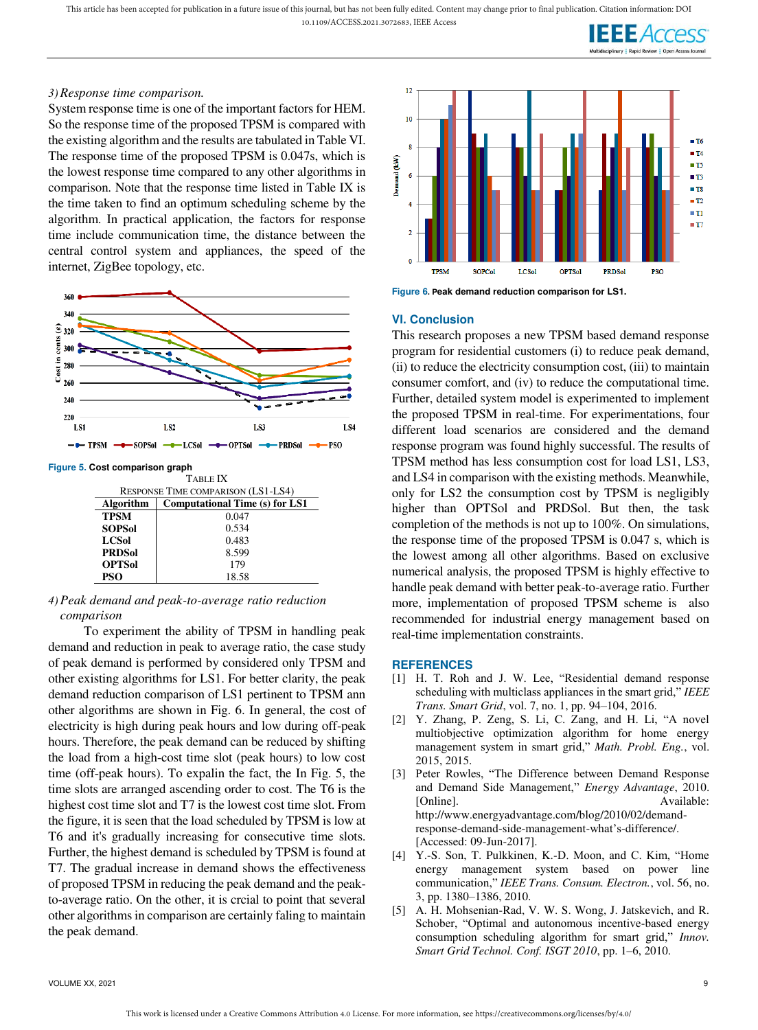## *3)Response time comparison.*

System response time is one of the important factors for HEM. So the response time of the proposed TPSM is compared with the existing algorithm and the results are tabulated in Table VI. The response time of the proposed TPSM is 0.047s, which is the lowest response time compared to any other algorithms in comparison. Note that the response time listed in Table IX is the time taken to find an optimum scheduling scheme by the algorithm. In practical application, the factors for response time include communication time, the distance between the central control system and appliances, the speed of the internet, ZigBee topology, etc.



**Figure 5. Cost comparison graph** 

| RESPONSE TIME COMPARISON (LS1-LS4)<br><b>Computational Time (s) for LS1</b><br>Algorithm<br>0.047<br><b>TPSM</b><br><b>SOPSol</b><br>0.534<br><b>LCSol</b><br>0.483<br><b>PRDSol</b><br>8.599 |  |
|-----------------------------------------------------------------------------------------------------------------------------------------------------------------------------------------------|--|
|                                                                                                                                                                                               |  |
|                                                                                                                                                                                               |  |
|                                                                                                                                                                                               |  |
|                                                                                                                                                                                               |  |
|                                                                                                                                                                                               |  |
|                                                                                                                                                                                               |  |
| 179<br><b>OPTSol</b>                                                                                                                                                                          |  |
| PSO<br>18.58                                                                                                                                                                                  |  |

# *4)Peak demand and peak-to-average ratio reduction comparison*

To experiment the ability of TPSM in handling peak demand and reduction in peak to average ratio, the case study of peak demand is performed by considered only TPSM and other existing algorithms for LS1. For better clarity, the peak demand reduction comparison of LS1 pertinent to TPSM ann other algorithms are shown in Fig. 6. In general, the cost of electricity is high during peak hours and low during off-peak hours. Therefore, the peak demand can be reduced by shifting the load from a high-cost time slot (peak hours) to low cost time (off-peak hours). To expalin the fact, the In Fig. 5, the time slots are arranged ascending order to cost. The T6 is the highest cost time slot and T7 is the lowest cost time slot. From the figure, it is seen that the load scheduled by TPSM is low at T6 and it's gradually increasing for consecutive time slots. Further, the highest demand is scheduled by TPSM is found at T7. The gradual increase in demand shows the effectiveness of proposed TPSM in reducing the peak demand and the peakto-average ratio. On the other, it is crcial to point that several other algorithms in comparison are certainly faling to maintain the peak demand.



**Figure 6. Peak demand reduction comparison for LS1.** 

#### **VI. Conclusion**

This research proposes a new TPSM based demand response program for residential customers (i) to reduce peak demand, (ii) to reduce the electricity consumption cost, (iii) to maintain consumer comfort, and (iv) to reduce the computational time. Further, detailed system model is experimented to implement the proposed TPSM in real-time. For experimentations, four different load scenarios are considered and the demand response program was found highly successful. The results of TPSM method has less consumption cost for load LS1, LS3, and LS4 in comparison with the existing methods. Meanwhile, only for LS2 the consumption cost by TPSM is negligibly higher than OPTSol and PRDSol. But then, the task completion of the methods is not up to 100%. On simulations, the response time of the proposed TPSM is 0.047 s, which is the lowest among all other algorithms. Based on exclusive numerical analysis, the proposed TPSM is highly effective to handle peak demand with better peak-to-average ratio. Further more, implementation of proposed TPSM scheme is also recommended for industrial energy management based on real-time implementation constraints.

#### **REFERENCES**

- [1] H. T. Roh and J. W. Lee, "Residential demand response scheduling with multiclass appliances in the smart grid," *IEEE Trans. Smart Grid*, vol. 7, no. 1, pp. 94–104, 2016.
- [2] Y. Zhang, P. Zeng, S. Li, C. Zang, and H. Li, "A novel multiobjective optimization algorithm for home energy management system in smart grid," *Math. Probl. Eng.*, vol. 2015, 2015.
- [3] Peter Rowles, "The Difference between Demand Response and Demand Side Management," *Energy Advantage*, 2010. [Online]. Available: http://www.energyadvantage.com/blog/2010/02/demandresponse-demand-side-management-what's-difference/. [Accessed: 09-Jun-2017].
- [4] Y.-S. Son, T. Pulkkinen, K.-D. Moon, and C. Kim, "Home energy management system based on power line communication," *IEEE Trans. Consum. Electron.*, vol. 56, no. 3, pp. 1380–1386, 2010.
- [5] A. H. Mohsenian-Rad, V. W. S. Wong, J. Jatskevich, and R. Schober, "Optimal and autonomous incentive-based energy consumption scheduling algorithm for smart grid," *Innov. Smart Grid Technol. Conf. ISGT 2010*, pp. 1–6, 2010.

VOLUME XX, 2021 9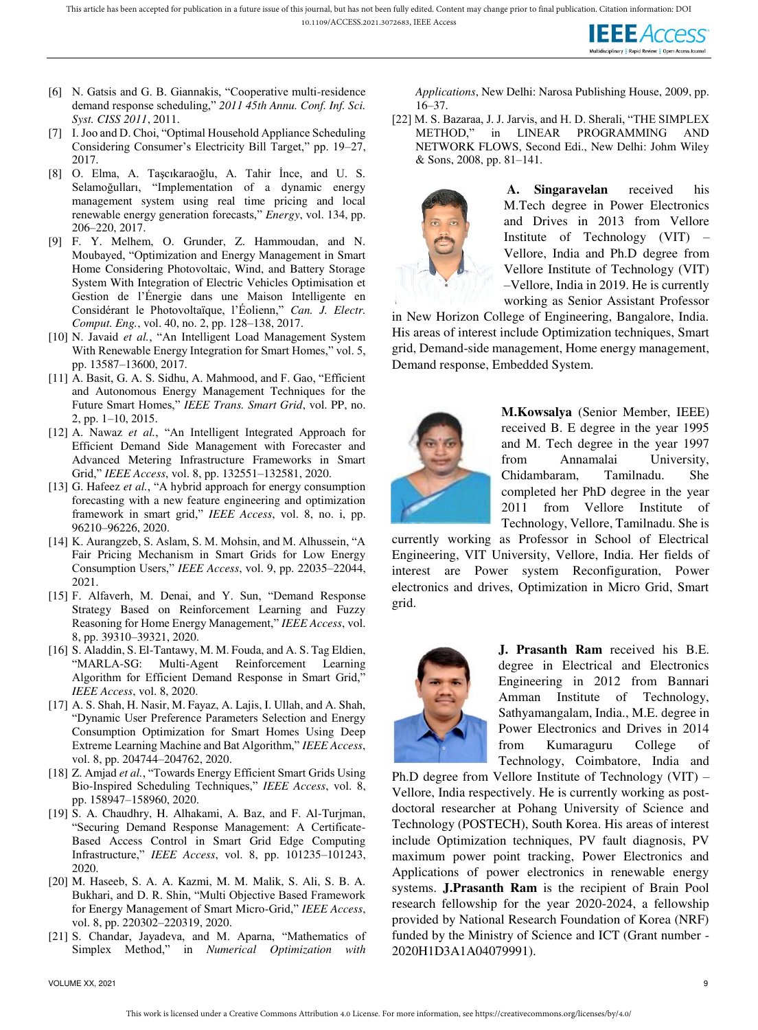

- [6] N. Gatsis and G. B. Giannakis, "Cooperative multi-residence demand response scheduling," *2011 45th Annu. Conf. Inf. Sci. Syst. CISS 2011*, 2011.
- [7] I. Joo and D. Choi, "Optimal Household Appliance Scheduling Considering Consumer's Electricity Bill Target," pp. 19–27, 2017.
- [8] O. Elma, A. Taşcıkaraoğlu, A. Tahir İnce, and U. S. Selamoğulları, "Implementation of a dynamic energy management system using real time pricing and local renewable energy generation forecasts," *Energy*, vol. 134, pp. 206–220, 2017.
- [9] F. Y. Melhem, O. Grunder, Z. Hammoudan, and N. Moubayed, "Optimization and Energy Management in Smart Home Considering Photovoltaic, Wind, and Battery Storage System With Integration of Electric Vehicles Optimisation et Gestion de l'Énergie dans une Maison Intelligente en Considérant le Photovoltaïque, l'Éolienn," *Can. J. Electr. Comput. Eng.*, vol. 40, no. 2, pp. 128–138, 2017.
- [10] N. Javaid *et al.*, "An Intelligent Load Management System With Renewable Energy Integration for Smart Homes," vol. 5, pp. 13587–13600, 2017.
- [11] A. Basit, G. A. S. Sidhu, A. Mahmood, and F. Gao, "Efficient and Autonomous Energy Management Techniques for the Future Smart Homes," *IEEE Trans. Smart Grid*, vol. PP, no. 2, pp. 1–10, 2015.
- [12] A. Nawaz *et al.*, "An Intelligent Integrated Approach for Efficient Demand Side Management with Forecaster and Advanced Metering Infrastructure Frameworks in Smart Grid," *IEEE Access*, vol. 8, pp. 132551–132581, 2020.
- [13] G. Hafeez *et al.*, "A hybrid approach for energy consumption forecasting with a new feature engineering and optimization framework in smart grid," *IEEE Access*, vol. 8, no. i, pp. 96210–96226, 2020.
- [14] K. Aurangzeb, S. Aslam, S. M. Mohsin, and M. Alhussein, "A Fair Pricing Mechanism in Smart Grids for Low Energy Consumption Users," *IEEE Access*, vol. 9, pp. 22035–22044, 2021.
- [15] F. Alfaverh, M. Denai, and Y. Sun, "Demand Response Strategy Based on Reinforcement Learning and Fuzzy Reasoning for Home Energy Management," *IEEE Access*, vol. 8, pp. 39310–39321, 2020.
- [16] S. Aladdin, S. El-Tantawy, M. M. Fouda, and A. S. Tag Eldien, "MARLA-SG: Multi-Agent Reinforcement Learning Algorithm for Efficient Demand Response in Smart Grid," *IEEE Access*, vol. 8, 2020.
- [17] A. S. Shah, H. Nasir, M. Fayaz, A. Lajis, I. Ullah, and A. Shah, "Dynamic User Preference Parameters Selection and Energy Consumption Optimization for Smart Homes Using Deep Extreme Learning Machine and Bat Algorithm," *IEEE Access*, vol. 8, pp. 204744–204762, 2020.
- [18] Z. Amjad et al., "Towards Energy Efficient Smart Grids Using Bio-Inspired Scheduling Techniques," *IEEE Access*, vol. 8, pp. 158947–158960, 2020.
- [19] S. A. Chaudhry, H. Alhakami, A. Baz, and F. Al-Turjman, "Securing Demand Response Management: A Certificate-Based Access Control in Smart Grid Edge Computing Infrastructure," *IEEE Access*, vol. 8, pp. 101235–101243, 2020.
- [20] M. Haseeb, S. A. A. Kazmi, M. M. Malik, S. Ali, S. B. A. Bukhari, and D. R. Shin, "Multi Objective Based Framework for Energy Management of Smart Micro-Grid," *IEEE Access*, vol. 8, pp. 220302–220319, 2020.
- [21] S. Chandar, Jayadeva, and M. Aparna, "Mathematics of Simplex Method," in *Numerical Optimization with*

*Applications*, New Delhi: Narosa Publishing House, 2009, pp. 16–37.

[22] M. S. Bazaraa, J. J. Jarvis, and H. D. Sherali, "THE SIMPLEX METHOD," in LINEAR PROGRAMMING AND NETWORK FLOWS, Second Edi., New Delhi: Johm Wiley & Sons, 2008, pp. 81–141.



**A. Singaravelan** received his M.Tech degree in Power Electronics and Drives in 2013 from Vellore Institute of Technology (VIT) – Vellore, India and Ph.D degree from Vellore Institute of Technology (VIT) –Vellore, India in 2019. He is currently working as Senior Assistant Professor

in New Horizon College of Engineering, Bangalore, India. His areas of interest include Optimization techniques, Smart grid, Demand-side management, Home energy management, Demand response, Embedded System.



**M.Kowsalya** (Senior Member, IEEE) received B. E degree in the year 1995 and M. Tech degree in the year 1997 from Annamalai University, Chidambaram, Tamilnadu. She completed her PhD degree in the year 2011 from Vellore Institute of Technology, Vellore, Tamilnadu. She is

currently working as Professor in School of Electrical Engineering, VIT University, Vellore, India. Her fields of interest are Power system Reconfiguration, Power electronics and drives, Optimization in Micro Grid, Smart grid.



**J. Prasanth Ram** received his B.E. degree in Electrical and Electronics Engineering in 2012 from Bannari Amman Institute of Technology, Sathyamangalam, India., M.E. degree in Power Electronics and Drives in 2014 from Kumaraguru College of Technology, Coimbatore, India and

Ph.D degree from Vellore Institute of Technology (VIT) – Vellore, India respectively. He is currently working as postdoctoral researcher at Pohang University of Science and Technology (POSTECH), South Korea. His areas of interest include Optimization techniques, PV fault diagnosis, PV maximum power point tracking, Power Electronics and Applications of power electronics in renewable energy systems. **J.Prasanth Ram** is the recipient of Brain Pool research fellowship for the year 2020-2024, a fellowship provided by National Research Foundation of Korea (NRF) funded by the Ministry of Science and ICT (Grant number - 2020H1D3A1A04079991).